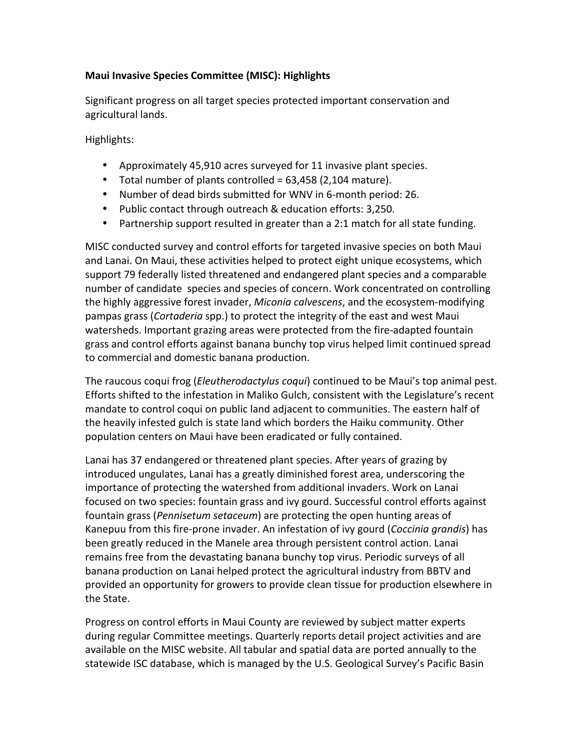# **Maui Invasive Species Committee (MISC): Highlights**

Significant progress on all target species protected important conservation and agricultural lands.

Highlights:

- Approximately 45,910 acres surveyed for 11 invasive plant species.
- Total number of plants controlled =  $63,458$  (2,104 mature).
- Number of dead birds submitted for WNV in 6-month period: 26.
- Public contact through outreach & education efforts: 3,250.
- Partnership support resulted in greater than a 2:1 match for all state funding.

MISC conducted survey and control efforts for targeted invasive species on both Maui and Lanai. On Maui, these activities helped to protect eight unique ecosystems, which support 79 federally listed threatened and endangered plant species and a comparable number of candidate species and species of concern. Work concentrated on controlling the highly aggressive forest invader, *Miconia calvescens*, and the ecosystem-modifying pampas grass (*Cortaderia* spp.) to protect the integrity of the east and west Maui watersheds. Important grazing areas were protected from the fire-adapted fountain grass and control efforts against banana bunchy top virus helped limit continued spread to commercial and domestic banana production.

The raucous coqui frog (*Eleutherodactylus coqui*) continued to be Maui's top animal pest. Efforts shifted to the infestation in Maliko Gulch, consistent with the Legislature's recent mandate to control coqui on public land adjacent to communities. The eastern half of the heavily infested gulch is state land which borders the Haiku community. Other population centers on Maui have been eradicated or fully contained.

Lanai has 37 endangered or threatened plant species. After years of grazing by introduced ungulates, Lanai has a greatly diminished forest area, underscoring the importance of protecting the watershed from additional invaders. Work on Lanai focused on two species: fountain grass and ivy gourd. Successful control efforts against fountain grass (Pennisetum setaceum) are protecting the open hunting areas of Kanepuu from this fire-prone invader. An infestation of ivy gourd (*Coccinia grandis*) has been greatly reduced in the Manele area through persistent control action. Lanai remains free from the devastating banana bunchy top virus. Periodic surveys of all banana production on Lanai helped protect the agricultural industry from BBTV and provided an opportunity for growers to provide clean tissue for production elsewhere in the State.

Progress on control efforts in Maui County are reviewed by subject matter experts during regular Committee meetings. Quarterly reports detail project activities and are available on the MISC website. All tabular and spatial data are ported annually to the statewide ISC database, which is managed by the U.S. Geological Survey's Pacific Basin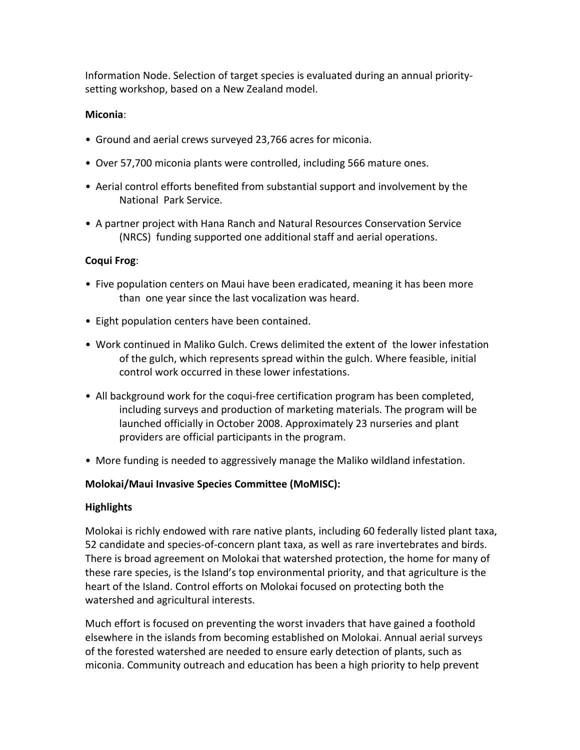Information Node. Selection of target species is evaluated during an annual prioritysetting workshop, based on a New Zealand model.

## **Miconia**:

- Ground and aerial crews surveyed 23,766 acres for miconia.
- Over 57,700 miconia plants were controlled, including 566 mature ones.
- Aerial control efforts benefited from substantial support and involvement by the National Park Service.
- A partner project with Hana Ranch and Natural Resources Conservation Service (NRCS) funding supported one additional staff and aerial operations.

## **Coqui Frog**:

- Five population centers on Maui have been eradicated, meaning it has been more than one year since the last vocalization was heard.
- Eight population centers have been contained.
- Work continued in Maliko Gulch. Crews delimited the extent of the lower infestation of the gulch, which represents spread within the gulch. Where feasible, initial control work occurred in these lower infestations.
- All background work for the coqui-free certification program has been completed, including surveys and production of marketing materials. The program will be launched officially in October 2008. Approximately 23 nurseries and plant providers are official participants in the program.
- More funding is needed to aggressively manage the Maliko wildland infestation.

### **Molokai/Maui Invasive Species Committee (MoMISC):**

### **Highlights**

Molokai is richly endowed with rare native plants, including 60 federally listed plant taxa, 52 candidate and species-of-concern plant taxa, as well as rare invertebrates and birds. There is broad agreement on Molokai that watershed protection, the home for many of these rare species, is the Island's top environmental priority, and that agriculture is the heart of the Island. Control efforts on Molokai focused on protecting both the watershed and agricultural interests.

Much effort is focused on preventing the worst invaders that have gained a foothold elsewhere in the islands from becoming established on Molokai. Annual aerial surveys of the forested watershed are needed to ensure early detection of plants, such as miconia. Community outreach and education has been a high priority to help prevent